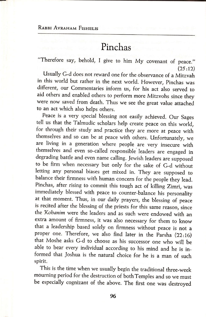## Pinchas

"Therefore say, behold, I give to him My covenant of peace."  $(25:12)$ 

usually G-d does not reward one for the observance of a Mitzvah in this world but rather in the next world. However, pinchas was different, our Commentaries inform us, for his act also served to aid others and enabled others to perform more Mitzvohs since they were now saved from death. Thus we see the great value attached to an act which also helps others.

Peace is a very special blessing not easily achieved. Our Sages tell us that the Talmudic scholars help create peace on this world, for through their study and practice they are more at peace with themselves and so can be at peace with others. Unfortunately, we are living in a generation where people are very insecure with themselves and even so-called responsible'leaders are engaged in degrading battle and even name calling. Jewish leaders are supposed to be ffrm when necessary but only for the sake of G-d without letting any personal biases get mixed in. They are supposed to balance their firmness with human concern for the people they lead. Pinchas, after rising to commit this tough act of killing Zimri, was immediately blessed with peace to counter-balance his personality at that moment. Thus, in our daily prayers, the blessing of peace is recited after the blessing of the priests for this same reason, since the Kobanim were the leaders and as such were endowed with an extra amount of ffrmness, it was also necessary for them to know that a leadership based solely on firmness without peace is not a proper one. Therefore, we also find later in the Parsha (22:16) that Moshe asks G-d to choose as his successor one who will be able to bear every individual according to his mind and he is informed that Joshua is the natural choice for he is a man of such spirit.

This is the time when we usually begin the traditional three-week mourning period for the destruction of bothTemples and so we must be especially cognizant of the above. The first one was destroyed